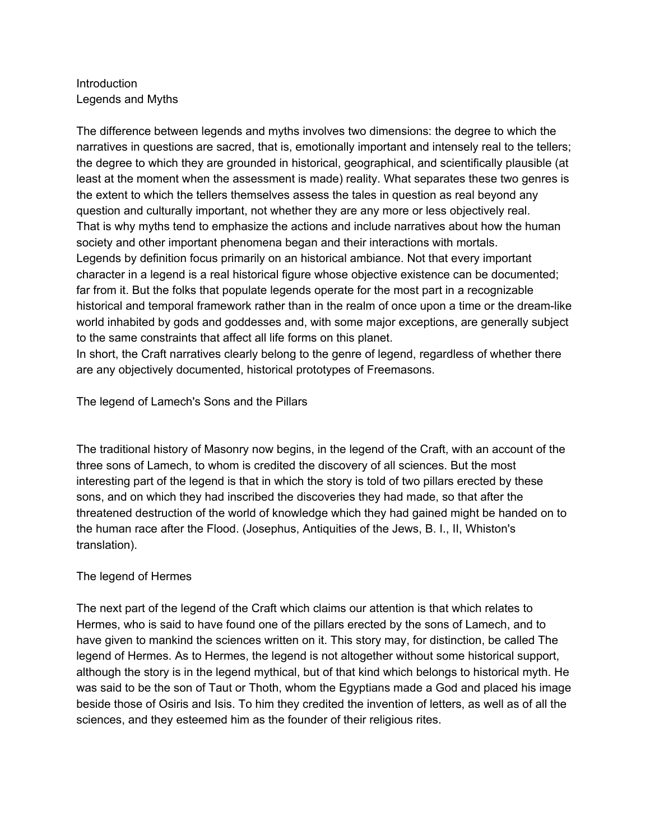# Introduction Legends and Myths

The difference between legends and myths involves two dimensions: the degree to which the narratives in questions are sacred, that is, emotionally important and intensely real to the tellers; the degree to which they are grounded in historical, geographical, and scientifically plausible (at least at the moment when the assessment is made) reality. What separates these two genres is the extent to which the tellers themselves assess the tales in question as real beyond any question and culturally important, not whether they are any more or less objectively real. That is why myths tend to emphasize the actions and include narratives about how the human society and other important phenomena began and their interactions with mortals. Legends by definition focus primarily on an historical ambiance. Not that every important character in a legend is a real historical figure whose objective existence can be documented; far from it. But the folks that populate legends operate for the most part in a recognizable historical and temporal framework rather than in the realm of once upon a time or the dream-like world inhabited by gods and goddesses and, with some major exceptions, are generally subject to the same constraints that affect all life forms on this planet.

In short, the Craft narratives clearly belong to the genre of legend, regardless of whether there are any objectively documented, historical prototypes of Freemasons.

The legend of Lamech's Sons and the Pillars

The traditional history of Masonry now begins, in the legend of the Craft, with an account of the three sons of Lamech, to whom is credited the discovery of all sciences. But the most interesting part of the legend is that in which the story is told of two pillars erected by these sons, and on which they had inscribed the discoveries they had made, so that after the threatened destruction of the world of knowledge which they had gained might be handed on to the human race after the Flood. (Josephus, Antiquities of the Jews, B. I., II, Whiston's translation).

## The legend of Hermes

The next part of the legend of the Craft which claims our attention is that which relates to Hermes, who is said to have found one of the pillars erected by the sons of Lamech, and to have given to mankind the sciences written on it. This story may, for distinction, be called The legend of Hermes. As to Hermes, the legend is not altogether without some historical support, although the story is in the legend mythical, but of that kind which belongs to historical myth. He was said to be the son of Taut or Thoth, whom the Egyptians made a God and placed his image beside those of Osiris and Isis. To him they credited the invention of letters, as well as of all the sciences, and they esteemed him as the founder of their religious rites.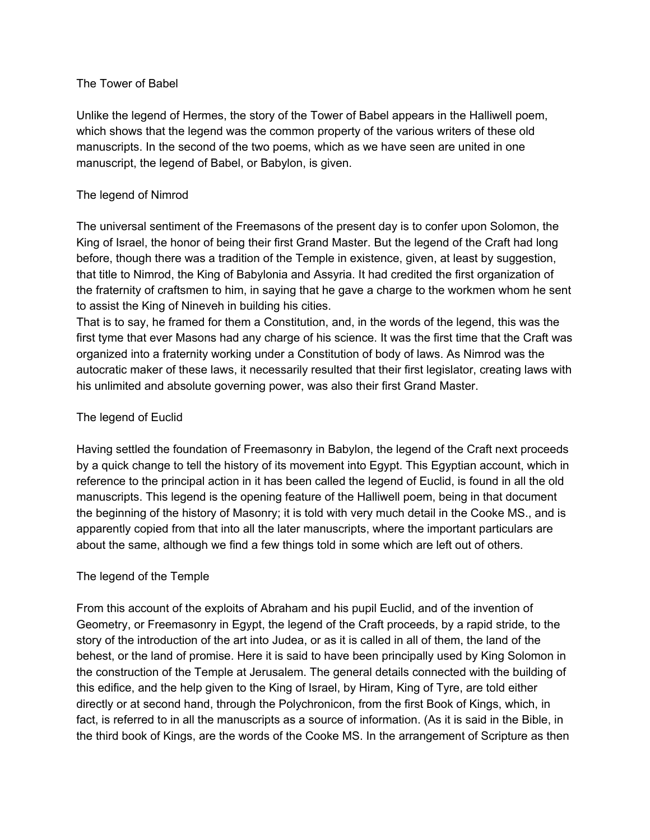### The Tower of Babel

Unlike the legend of Hermes, the story of the Tower of Babel appears in the Halliwell poem, which shows that the legend was the common property of the various writers of these old manuscripts. In the second of the two poems, which as we have seen are united in one manuscript, the legend of Babel, or Babylon, is given.

## The legend of Nimrod

The universal sentiment of the Freemasons of the present day is to confer upon Solomon, the King of Israel, the honor of being their first Grand Master. But the legend of the Craft had long before, though there was a tradition of the Temple in existence, given, at least by suggestion, that title to Nimrod, the King of Babylonia and Assyria. It had credited the first organization of the fraternity of craftsmen to him, in saying that he gave a charge to the workmen whom he sent to assist the King of Nineveh in building his cities.

That is to say, he framed for them a Constitution, and, in the words of the legend, this was the first tyme that ever Masons had any charge of his science. It was the first time that the Craft was organized into a fraternity working under a Constitution of body of laws. As Nimrod was the autocratic maker of these laws, it necessarily resulted that their first legislator, creating laws with his unlimited and absolute governing power, was also their first Grand Master.

## The legend of Euclid

Having settled the foundation of Freemasonry in Babylon, the legend of the Craft next proceeds by a quick change to tell the history of its movement into Egypt. This Egyptian account, which in reference to the principal action in it has been called the legend of Euclid, is found in all the old manuscripts. This legend is the opening feature of the Halliwell poem, being in that document the beginning of the history of Masonry; it is told with very much detail in the Cooke MS., and is apparently copied from that into all the later manuscripts, where the important particulars are about the same, although we find a few things told in some which are left out of others.

## The legend of the Temple

From this account of the exploits of Abraham and his pupil Euclid, and of the invention of Geometry, or Freemasonry in Egypt, the legend of the Craft proceeds, by a rapid stride, to the story of the introduction of the art into Judea, or as it is called in all of them, the land of the behest, or the land of promise. Here it is said to have been principally used by King Solomon in the construction of the Temple at Jerusalem. The general details connected with the building of this edifice, and the help given to the King of Israel, by Hiram, King of Tyre, are told either directly or at second hand, through the Polychronicon, from the first Book of Kings, which, in fact, is referred to in all the manuscripts as a source of information. (As it is said in the Bible, in the third book of Kings, are the words of the Cooke MS. In the arrangement of Scripture as then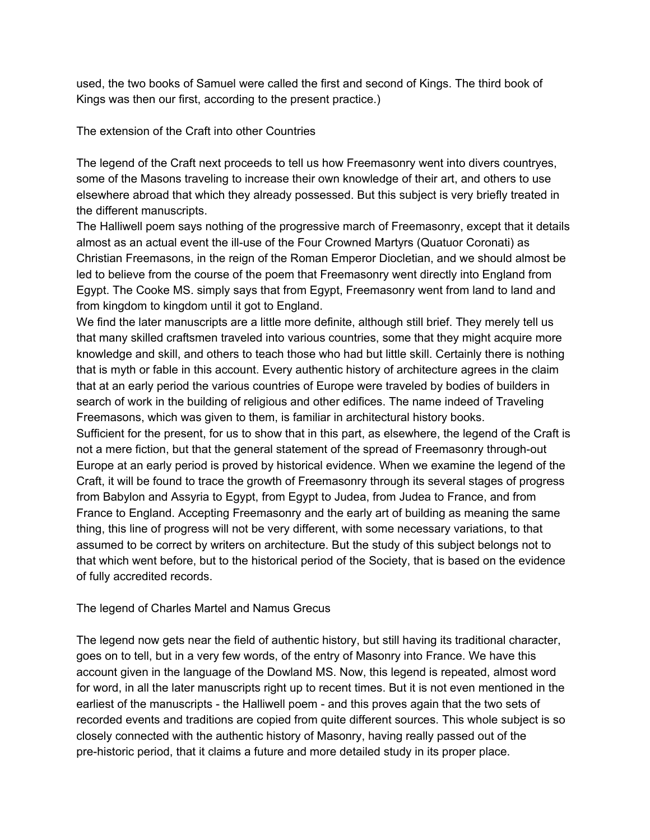used, the two books of Samuel were called the first and second of Kings. The third book of Kings was then our first, according to the present practice.)

The extension of the Craft into other Countries

The legend of the Craft next proceeds to tell us how Freemasonry went into divers countryes, some of the Masons traveling to increase their own knowledge of their art, and others to use elsewhere abroad that which they already possessed. But this subject is very briefly treated in the different manuscripts.

The Halliwell poem says nothing of the progressive march of Freemasonry, except that it details almost as an actual event the ill-use of the Four Crowned Martyrs (Quatuor Coronati) as Christian Freemasons, in the reign of the Roman Emperor Diocletian, and we should almost be led to believe from the course of the poem that Freemasonry went directly into England from Egypt. The Cooke MS. simply says that from Egypt, Freemasonry went from land to land and from kingdom to kingdom until it got to England.

We find the later manuscripts are a little more definite, although still brief. They merely tell us that many skilled craftsmen traveled into various countries, some that they might acquire more knowledge and skill, and others to teach those who had but little skill. Certainly there is nothing that is myth or fable in this account. Every authentic history of architecture agrees in the claim that at an early period the various countries of Europe were traveled by bodies of builders in search of work in the building of religious and other edifices. The name indeed of Traveling Freemasons, which was given to them, is familiar in architectural history books. Sufficient for the present, for us to show that in this part, as elsewhere, the legend of the Craft is not a mere fiction, but that the general statement of the spread of Freemasonry through-out Europe at an early period is proved by historical evidence. When we examine the legend of the Craft, it will be found to trace the growth of Freemasonry through its several stages of progress from Babylon and Assyria to Egypt, from Egypt to Judea, from Judea to France, and from France to England. Accepting Freemasonry and the early art of building as meaning the same thing, this line of progress will not be very different, with some necessary variations, to that assumed to be correct by writers on architecture. But the study of this subject belongs not to that which went before, but to the historical period of the Society, that is based on the evidence of fully accredited records.

The legend of Charles Martel and Namus Grecus

The legend now gets near the field of authentic history, but still having its traditional character, goes on to tell, but in a very few words, of the entry of Masonry into France. We have this account given in the language of the Dowland MS. Now, this legend is repeated, almost word for word, in all the later manuscripts right up to recent times. But it is not even mentioned in the earliest of the manuscripts - the Halliwell poem - and this proves again that the two sets of recorded events and traditions are copied from quite different sources. This whole subject is so closely connected with the authentic history of Masonry, having really passed out of the pre-historic period, that it claims a future and more detailed study in its proper place.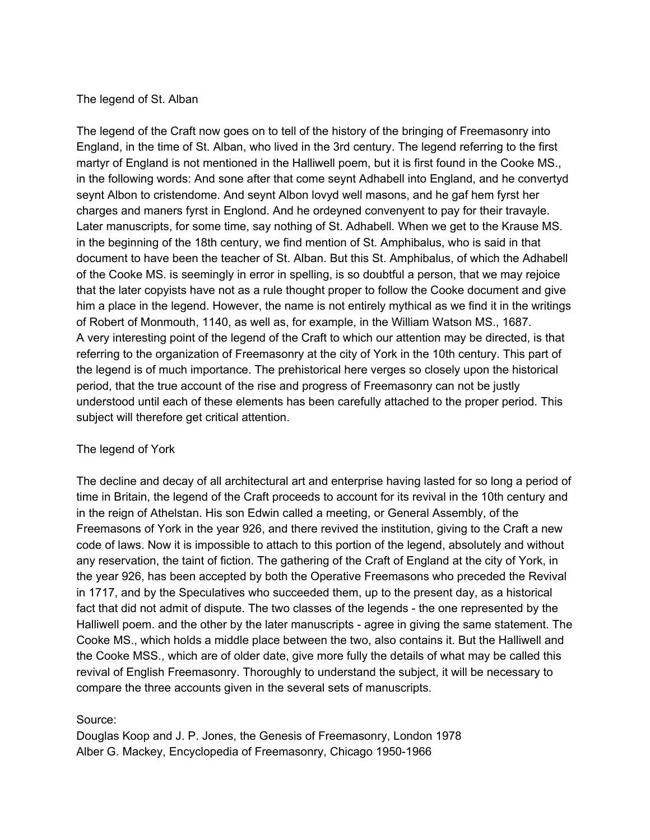#### The legend of St. Alban

The legend of the Craft now goes on to tell of the history of the bringing of Freemasonry into England, in the time of St. Alban, who lived in the 3rd century. The legend referring to the first martyr of England is not mentioned in the Halliwell poem, but it is first found in the Cooke MS., in the following words: And sone after that come seynt Adhabell into England, and he convertyd seynt Albon to cristendome. And seynt Albon lovyd well masons, and he gaf hem fyrst her charges and maners fyrst in Englond. And he ordeyned convenyent to pay for their travayle. Later manuscripts, for some time, say nothing of St. Adhabell. When we get to the Krause MS. in the beginning of the 18th century, we find mention of St. Amphibalus, who is said in that document to have been the teacher of St. Alban. But this St. Amphibalus, of which the Adhabell of the Cooke MS. is seemingly in error in spelling, is so doubtful a person, that we may rejoice that the later copyists have not as a rule thought proper to follow the Cooke document and give him a place in the legend. However, the name is not entirely mythical as we find it in the writings of Robert of Monmouth, 1140, as well as, for example, in the William Watson MS., 1687. A very interesting point of the legend of the Craft to which our attention may be directed, is that referring to the organization of Freemasonry at the city of York in the 10th century. This part of the legend is of much importance. The prehistorical here verges so closely upon the historical period, that the true account of the rise and progress of Freemasonry can not be justly understood until each of these elements has been carefully attached to the proper period. This subject will therefore get critical attention.

### The legend of York

The decline and decay of all architectural art and enterprise having lasted for so long a period of time in Britain, the legend of the Craft proceeds to account for its revival in the 10th century and in the reign of Athelstan. His son Edwin called a meeting, or General Assembly, of the Freemasons of York in the year 926, and there revived the institution, giving to the Craft a new code of laws. Now it is impossible to attach to this portion of the legend, absolutely and without any reservation, the taint of fiction. The gathering of the Craft of England at the city of York, in the year 926, has been accepted by both the Operative Freemasons who preceded the Revival in 1717, and by the Speculatives who succeeded them, up to the present day, as a historical fact that did not admit of dispute. The two classes of the legends - the one represented by the Halliwell poem. and the other by the later manuscripts - agree in giving the same statement. The Cooke MS., which holds a middle place between the two, also contains it. But the Halliwell and the Cooke MSS., which are of older date, give more fully the details of what may be called this revival of English Freemasonry. Thoroughly to understand the subject, it will be necessary to compare the three accounts given in the several sets of manuscripts.

### Source:

Douglas Koop and J. P. Jones, the Genesis of Freemasonry, London 1978 Alber G. Mackey, Encyclopedia of Freemasonry, Chicago 1950-1966